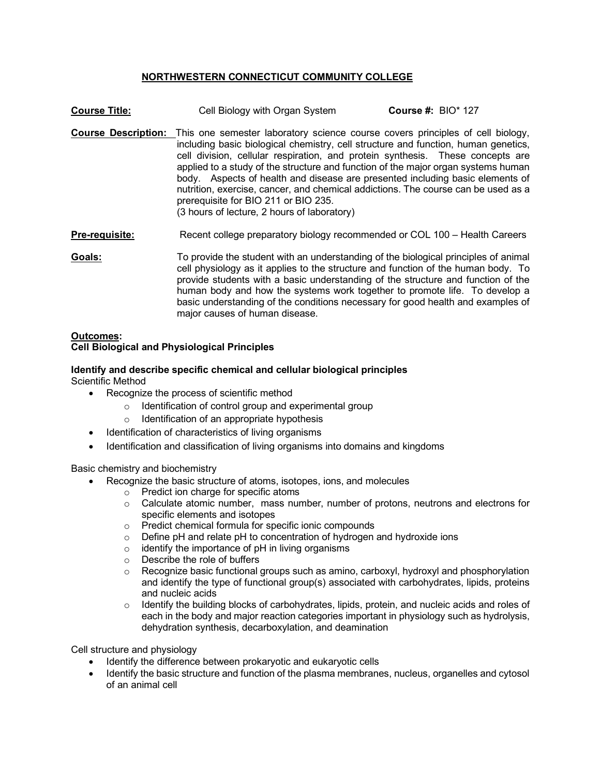# **NORTHWESTERN CONNECTICUT COMMUNITY COLLEGE**

| <b>Course Title:</b>  | Cell Biology with Organ System                                                                                                                                                                                                                                                                                                                                                                                                                                                                                                                                                                                                      | Course #: $BIO^* 127$ |
|-----------------------|-------------------------------------------------------------------------------------------------------------------------------------------------------------------------------------------------------------------------------------------------------------------------------------------------------------------------------------------------------------------------------------------------------------------------------------------------------------------------------------------------------------------------------------------------------------------------------------------------------------------------------------|-----------------------|
|                       | <b>Course Description:</b> This one semester laboratory science course covers principles of cell biology,<br>including basic biological chemistry, cell structure and function, human genetics,<br>cell division, cellular respiration, and protein synthesis. These concepts are<br>applied to a study of the structure and function of the major organ systems human<br>body. Aspects of health and disease are presented including basic elements of<br>nutrition, exercise, cancer, and chemical addictions. The course can be used as a<br>prerequisite for BIO 211 or BIO 235.<br>(3 hours of lecture, 2 hours of laboratory) |                       |
| <b>Pre-requisite:</b> | Recent college preparatory biology recommended or COL 100 - Health Careers                                                                                                                                                                                                                                                                                                                                                                                                                                                                                                                                                          |                       |
| Goals:                | To provide the student with an understanding of the biological principles of animal<br>cell physiology as it applies to the structure and function of the human body. To<br>provide students with a basic understanding of the structure and function of the<br>human body and how the systems work together to promote life. To develop a<br>basic understanding of the conditions necessary for good health and examples of<br>major causes of human disease.                                                                                                                                                                     |                       |

#### **Outcomes: Cell Biological and Physiological Principles**

# **Identify and describe specific chemical and cellular biological principles**

Scientific Method

- Recognize the process of scientific method
	- o Identification of control group and experimental group
	- o Identification of an appropriate hypothesis
- Identification of characteristics of living organisms
- Identification and classification of living organisms into domains and kingdoms

Basic chemistry and biochemistry

- Recognize the basic structure of atoms, isotopes, ions, and molecules
	- o Predict ion charge for specific atoms
		- o Calculate atomic number, mass number, number of protons, neutrons and electrons for specific elements and isotopes
	- o Predict chemical formula for specific ionic compounds
	- o Define pH and relate pH to concentration of hydrogen and hydroxide ions
	- $\circ$  identify the importance of pH in living organisms
	- o Describe the role of buffers
	- $\circ$  Recognize basic functional groups such as amino, carboxyl, hydroxyl and phosphorylation and identify the type of functional group(s) associated with carbohydrates, lipids, proteins and nucleic acids
	- $\circ$  Identify the building blocks of carbohydrates, lipids, protein, and nucleic acids and roles of each in the body and major reaction categories important in physiology such as hydrolysis, dehydration synthesis, decarboxylation, and deamination

Cell structure and physiology

- Identify the difference between prokaryotic and eukaryotic cells
- Identify the basic structure and function of the plasma membranes, nucleus, organelles and cytosol of an animal cell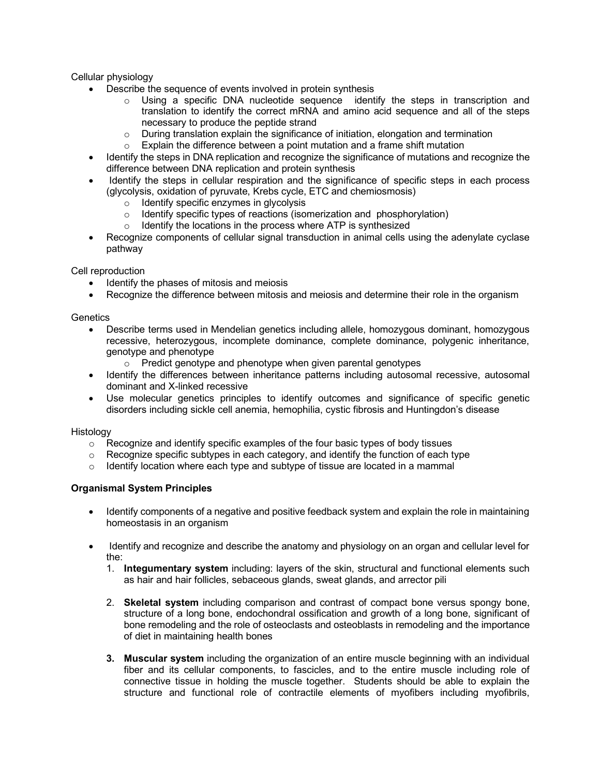Cellular physiology

- Describe the sequence of events involved in protein synthesis
	- $\circ$  Using a specific DNA nucleotide sequence identify the steps in transcription and translation to identify the correct mRNA and amino acid sequence and all of the steps necessary to produce the peptide strand
	- $\circ$  During translation explain the significance of initiation, elongation and termination
	- o Explain the difference between a point mutation and a frame shift mutation
- Identify the steps in DNA replication and recognize the significance of mutations and recognize the difference between DNA replication and protein synthesis
- Identify the steps in cellular respiration and the significance of specific steps in each process (glycolysis, oxidation of pyruvate, Krebs cycle, ETC and chemiosmosis)
	- o Identify specific enzymes in glycolysis
	- o Identify specific types of reactions (isomerization and phosphorylation)
	- o Identify the locations in the process where ATP is synthesized
- Recognize components of cellular signal transduction in animal cells using the adenylate cyclase pathway

Cell reproduction

- Identify the phases of mitosis and meiosis
- Recognize the difference between mitosis and meiosis and determine their role in the organism

### **Genetics**

- Describe terms used in Mendelian genetics including allele, homozygous dominant, homozygous recessive, heterozygous, incomplete dominance, complete dominance, polygenic inheritance, genotype and phenotype
	- o Predict genotype and phenotype when given parental genotypes
- Identify the differences between inheritance patterns including autosomal recessive, autosomal dominant and X-linked recessive
- Use molecular genetics principles to identify outcomes and significance of specific genetic disorders including sickle cell anemia, hemophilia, cystic fibrosis and Huntingdon's disease

#### Histology

- $\circ$  Recognize and identify specific examples of the four basic types of body tissues
- $\circ$  Recognize specific subtypes in each category, and identify the function of each type
- $\circ$  Identify location where each type and subtype of tissue are located in a mammal

# **Organismal System Principles**

- Identify components of a negative and positive feedback system and explain the role in maintaining homeostasis in an organism
- Identify and recognize and describe the anatomy and physiology on an organ and cellular level for the:
	- 1. **Integumentary system** including: layers of the skin, structural and functional elements such as hair and hair follicles, sebaceous glands, sweat glands, and arrector pili
	- 2. **Skeletal system** including comparison and contrast of compact bone versus spongy bone, structure of a long bone, endochondral ossification and growth of a long bone, significant of bone remodeling and the role of osteoclasts and osteoblasts in remodeling and the importance of diet in maintaining health bones
	- **3. Muscular system** including the organization of an entire muscle beginning with an individual fiber and its cellular components, to fascicles, and to the entire muscle including role of connective tissue in holding the muscle together. Students should be able to explain the structure and functional role of contractile elements of myofibers including myofibrils,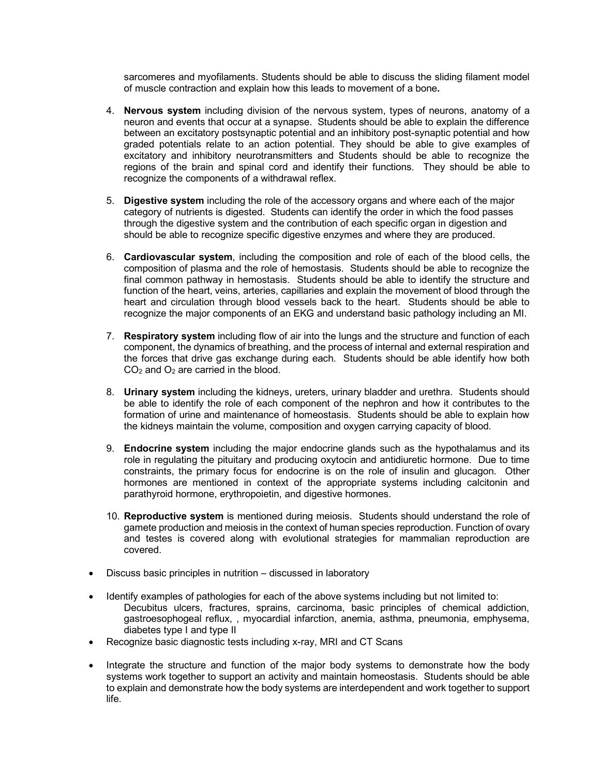sarcomeres and myofilaments. Students should be able to discuss the sliding filament model of muscle contraction and explain how this leads to movement of a bone**.** 

- 4. **Nervous system** including division of the nervous system, types of neurons, anatomy of a neuron and events that occur at a synapse. Students should be able to explain the difference between an excitatory postsynaptic potential and an inhibitory post-synaptic potential and how graded potentials relate to an action potential. They should be able to give examples of excitatory and inhibitory neurotransmitters and Students should be able to recognize the regions of the brain and spinal cord and identify their functions. They should be able to recognize the components of a withdrawal reflex.
- 5. **Digestive system** including the role of the accessory organs and where each of the major category of nutrients is digested. Students can identify the order in which the food passes through the digestive system and the contribution of each specific organ in digestion and should be able to recognize specific digestive enzymes and where they are produced.
- 6. **Cardiovascular system**, including the composition and role of each of the blood cells, the composition of plasma and the role of hemostasis. Students should be able to recognize the final common pathway in hemostasis. Students should be able to identify the structure and function of the heart, veins, arteries, capillaries and explain the movement of blood through the heart and circulation through blood vessels back to the heart. Students should be able to recognize the major components of an EKG and understand basic pathology including an MI.
- 7. **Respiratory system** including flow of air into the lungs and the structure and function of each component, the dynamics of breathing, and the process of internal and external respiration and the forces that drive gas exchange during each. Students should be able identify how both CO2 and O2 are carried in the blood.
- 8. **Urinary system** including the kidneys, ureters, urinary bladder and urethra. Students should be able to identify the role of each component of the nephron and how it contributes to the formation of urine and maintenance of homeostasis. Students should be able to explain how the kidneys maintain the volume, composition and oxygen carrying capacity of blood.
- 9. **Endocrine system** including the major endocrine glands such as the hypothalamus and its role in regulating the pituitary and producing oxytocin and antidiuretic hormone. Due to time constraints, the primary focus for endocrine is on the role of insulin and glucagon. Other hormones are mentioned in context of the appropriate systems including calcitonin and parathyroid hormone, erythropoietin, and digestive hormones.
- 10. **Reproductive system** is mentioned during meiosis. Students should understand the role of gamete production and meiosis in the context of human species reproduction. Function of ovary and testes is covered along with evolutional strategies for mammalian reproduction are covered.
- Discuss basic principles in nutrition discussed in laboratory
- Identify examples of pathologies for each of the above systems including but not limited to: Decubitus ulcers, fractures, sprains, carcinoma, basic principles of chemical addiction, gastroesophogeal reflux, , myocardial infarction, anemia, asthma, pneumonia, emphysema, diabetes type I and type II
- Recognize basic diagnostic tests including x-ray, MRI and CT Scans
- Integrate the structure and function of the major body systems to demonstrate how the body systems work together to support an activity and maintain homeostasis. Students should be able to explain and demonstrate how the body systems are interdependent and work together to support life.